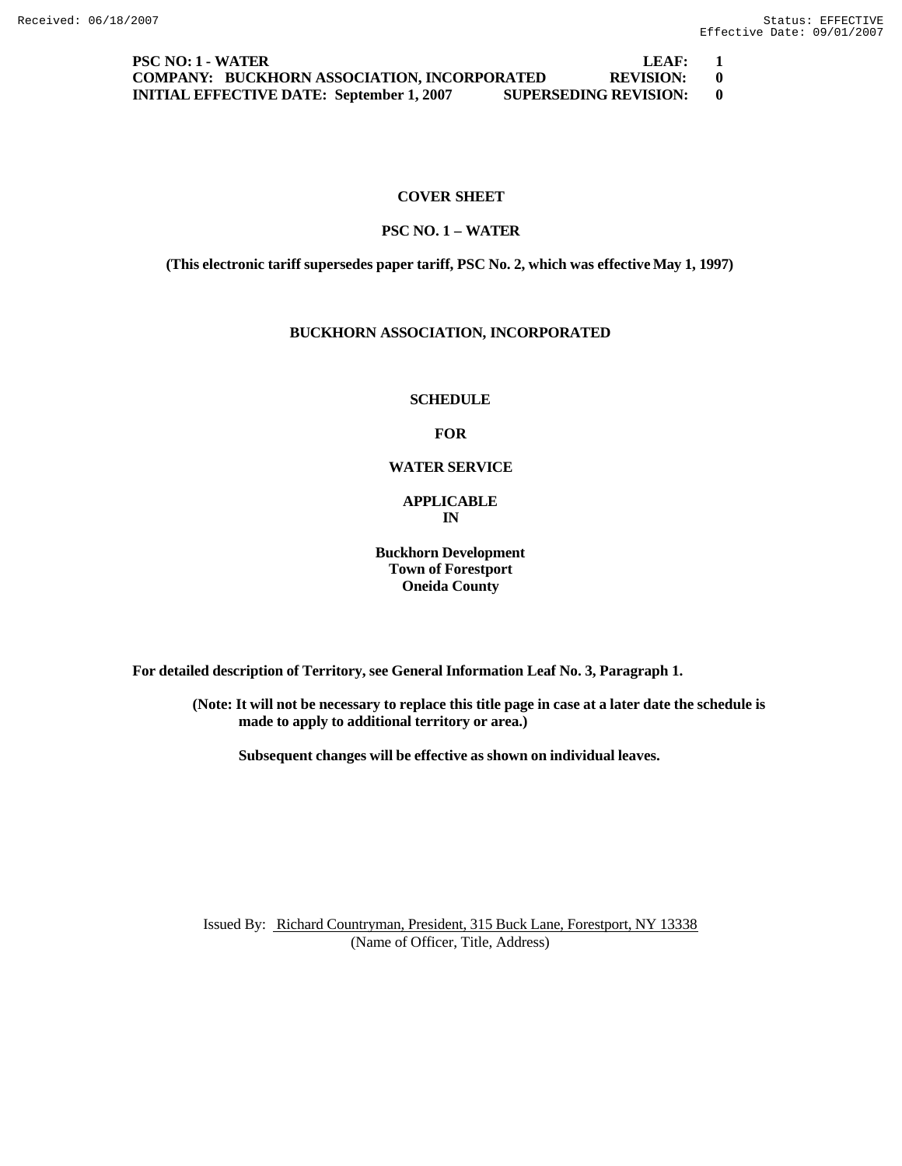**PSC NO: 1 - WATER LEAF: 1 COMPANY: BUCKHORN ASSOCIATION, INCORPORATED REVISION: 0 INITIAL EFFECTIVE DATE: September 1, 2007 SUPERSEDING REVISION: 0**

# **COVER SHEET**

## **PSC NO. 1 – WATER**

**(This electronic tariff supersedes paper tariff, PSC No. 2, which was effective May 1, 1997)**

# **BUCKHORN ASSOCIATION, INCORPORATED**

#### **SCHEDULE**

#### **FOR**

## **WATER SERVICE**

# **APPLICABLE IN**

# **Buckhorn Development Town of Forestport Oneida County**

**For detailed description of Territory, see General Information Leaf No. 3, Paragraph 1.**

**(Note: It will not be necessary to replace this title page in case at a later date the schedule is made to apply to additional territory or area.)**

**Subsequent changes will be effective as shown on individual leaves.**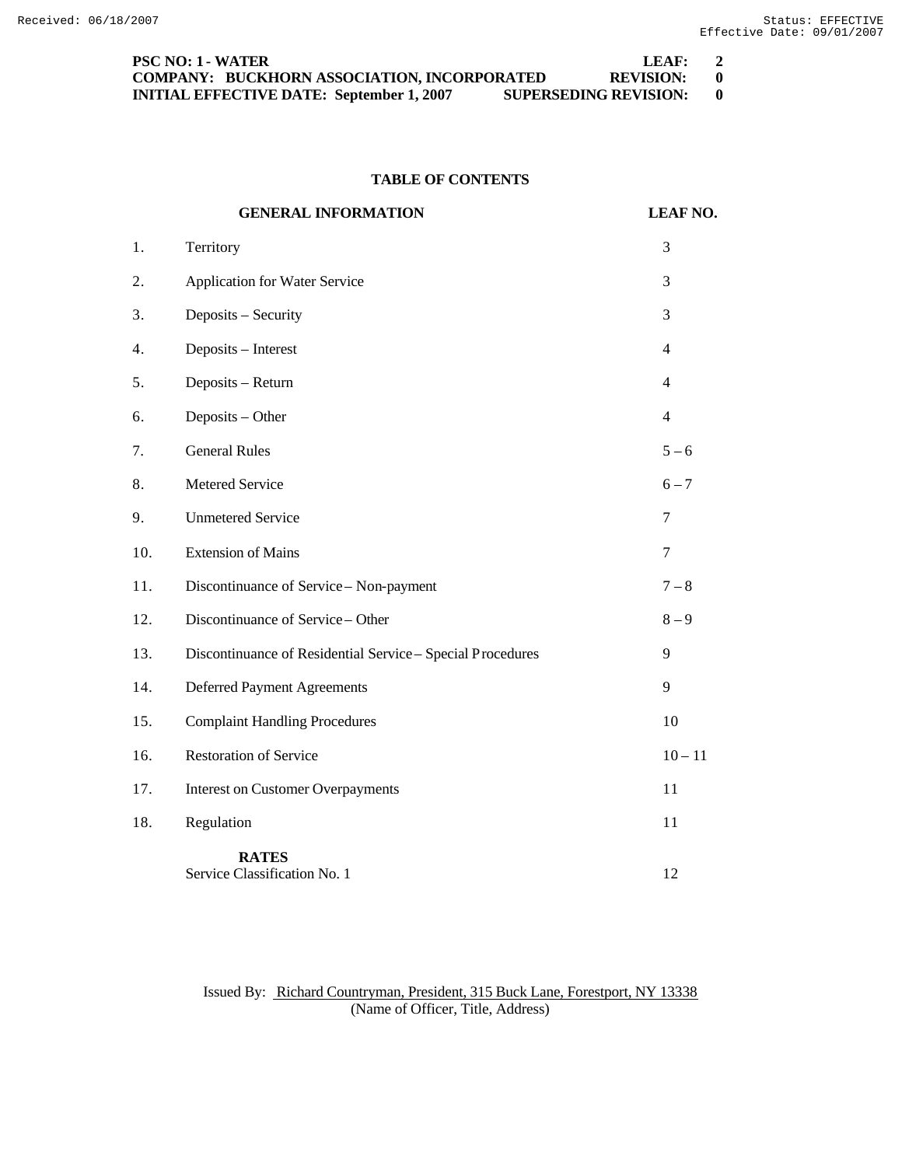| <b>PSC NO: 1 - WATER</b>                                                         | LFAF:       | $\overline{2}$ |
|----------------------------------------------------------------------------------|-------------|----------------|
| <b>COMPANY: BUCKHORN ASSOCIATION, INCORPORATED</b>                               | REVISION: 0 |                |
| <b>SUPERSEDING REVISION:</b><br><b>INITIAL EFFECTIVE DATE: September 1, 2007</b> |             |                |

# **TABLE OF CONTENTS**

|     | <b>GENERAL INFORMATION</b>                                 | <b>LEAF NO.</b>  |
|-----|------------------------------------------------------------|------------------|
| 1.  | Territory                                                  | 3                |
| 2.  | <b>Application for Water Service</b>                       | 3                |
| 3.  | Deposits - Security                                        | 3                |
| 4.  | Deposits - Interest                                        | $\overline{4}$   |
| 5.  | Deposits - Return                                          | $\overline{4}$   |
| 6.  | Deposits - Other                                           | $\overline{4}$   |
| 7.  | <b>General Rules</b>                                       | $5 - 6$          |
| 8.  | Metered Service                                            | $6 - 7$          |
| 9.  | <b>Unmetered Service</b>                                   | $\boldsymbol{7}$ |
| 10. | <b>Extension of Mains</b>                                  | 7                |
| 11. | Discontinuance of Service - Non-payment                    | $7 - 8$          |
| 12. | Discontinuance of Service - Other                          | $8 - 9$          |
| 13. | Discontinuance of Residential Service - Special Procedures | 9                |
| 14. | <b>Deferred Payment Agreements</b>                         | 9                |
| 15. | <b>Complaint Handling Procedures</b>                       | 10               |
| 16. | <b>Restoration of Service</b>                              | $10 - 11$        |
| 17. | <b>Interest on Customer Overpayments</b>                   | 11               |
| 18. | Regulation                                                 | 11               |
|     | <b>RATES</b><br>Service Classification No. 1               | 12               |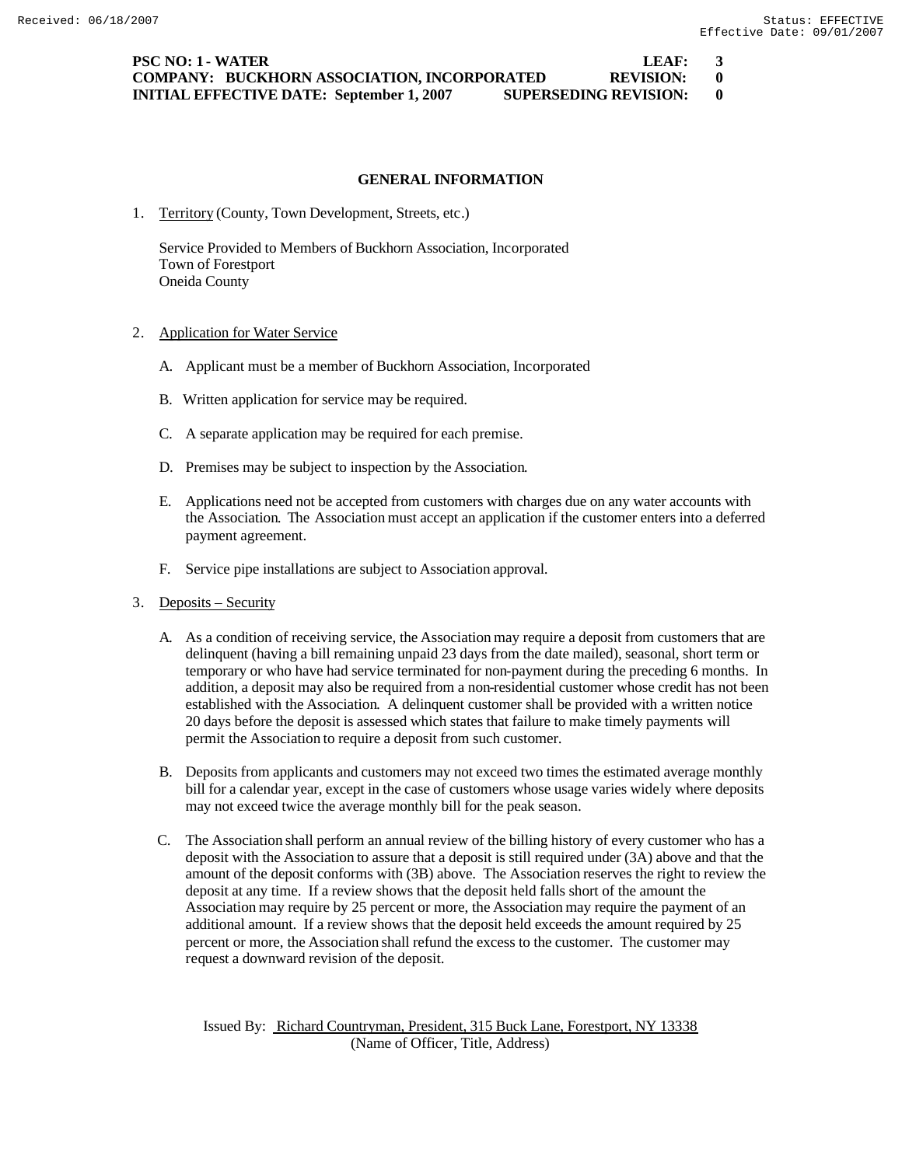**PSC NO: 1 - WATER LEAF:** 3 **COMPANY: BUCKHORN ASSOCIATION, INCORPORATED REVISION: 0 INITIAL EFFECTIVE DATE: September 1, 2007 SUPERSEDING REVISION: 0**

## **GENERAL INFORMATION**

1. Territory (County, Town Development, Streets, etc.)

Service Provided to Members of Buckhorn Association, Incorporated Town of Forestport Oneida County

- 2. Application for Water Service
	- A. Applicant must be a member of Buckhorn Association, Incorporated
	- B. Written application for service may be required.
	- C. A separate application may be required for each premise.
	- D. Premises may be subject to inspection by the Association.
	- E. Applications need not be accepted from customers with charges due on any water accounts with the Association. The Association must accept an application if the customer enters into a deferred payment agreement.
	- F. Service pipe installations are subject to Association approval.
- 3. Deposits Security
	- A. As a condition of receiving service, the Association may require a deposit from customers that are delinquent (having a bill remaining unpaid 23 days from the date mailed), seasonal, short term or temporary or who have had service terminated for non-payment during the preceding 6 months. In addition, a deposit may also be required from a non-residential customer whose credit has not been established with the Association. A delinquent customer shall be provided with a written notice 20 days before the deposit is assessed which states that failure to make timely payments will permit the Association to require a deposit from such customer.
	- B. Deposits from applicants and customers may not exceed two times the estimated average monthly bill for a calendar year, except in the case of customers whose usage varies widely where deposits may not exceed twice the average monthly bill for the peak season.
	- C. The Association shall perform an annual review of the billing history of every customer who has a deposit with the Association to assure that a deposit is still required under (3A) above and that the amount of the deposit conforms with (3B) above. The Association reserves the right to review the deposit at any time. If a review shows that the deposit held falls short of the amount the Association may require by 25 percent or more, the Association may require the payment of an additional amount. If a review shows that the deposit held exceeds the amount required by 25 percent or more, the Association shall refund the excess to the customer. The customer may request a downward revision of the deposit.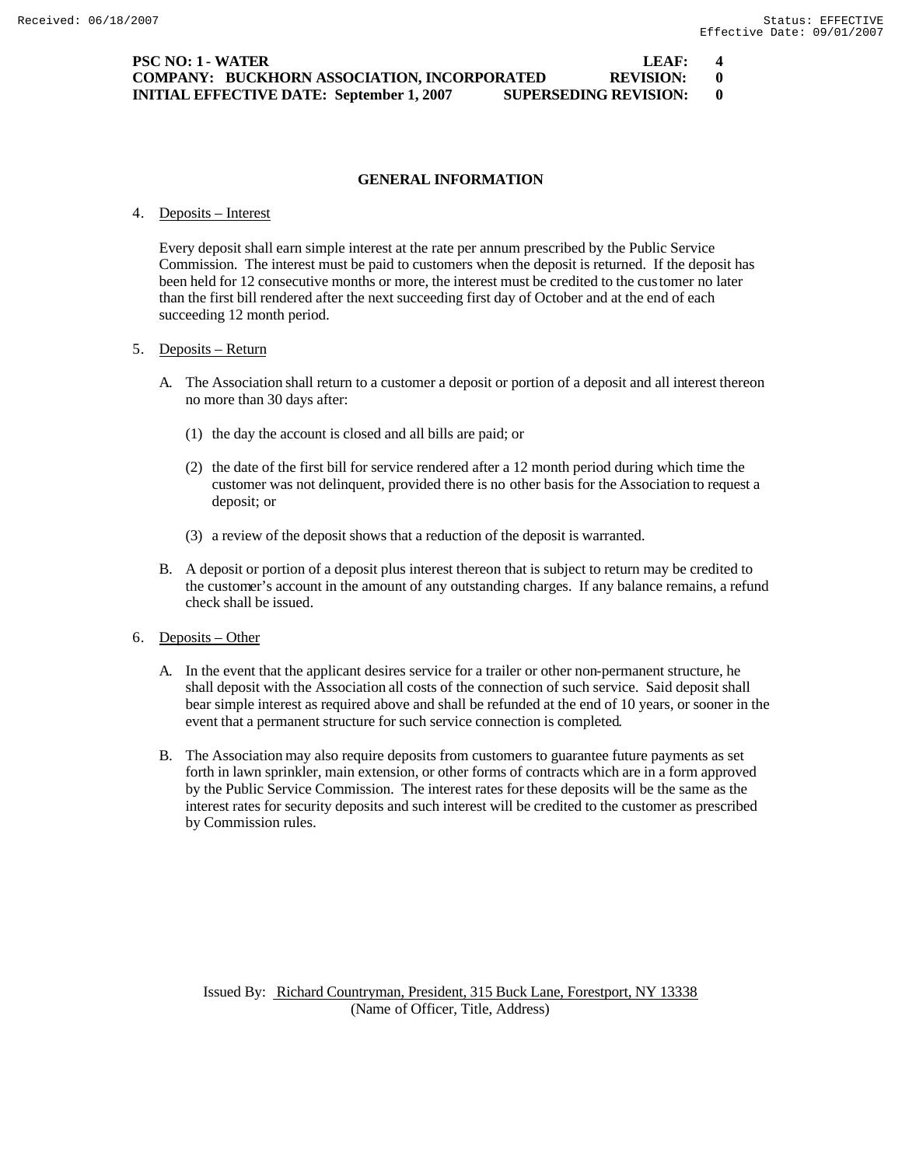**PSC NO: 1 - WATER LEAF: 4 COMPANY: BUCKHORN ASSOCIATION, INCORPORATED REVISION: 0 INITIAL EFFECTIVE DATE: September 1, 2007 SUPERSEDING REVISION: 0**

## **GENERAL INFORMATION**

#### 4. Deposits – Interest

Every deposit shall earn simple interest at the rate per annum prescribed by the Public Service Commission. The interest must be paid to customers when the deposit is returned. If the deposit has been held for 12 consecutive months or more, the interest must be credited to the customer no later than the first bill rendered after the next succeeding first day of October and at the end of each succeeding 12 month period.

#### 5. Deposits – Return

- A. The Association shall return to a customer a deposit or portion of a deposit and all interest thereon no more than 30 days after:
	- (1) the day the account is closed and all bills are paid; or
	- (2) the date of the first bill for service rendered after a 12 month period during which time the customer was not delinquent, provided there is no other basis for the Association to request a deposit; or
	- (3) a review of the deposit shows that a reduction of the deposit is warranted.
- B. A deposit or portion of a deposit plus interest thereon that is subject to return may be credited to the customer's account in the amount of any outstanding charges. If any balance remains, a refund check shall be issued.

## 6. Deposits – Other

- A. In the event that the applicant desires service for a trailer or other non-permanent structure, he shall deposit with the Association all costs of the connection of such service. Said deposit shall bear simple interest as required above and shall be refunded at the end of 10 years, or sooner in the event that a permanent structure for such service connection is completed.
- B. The Association may also require deposits from customers to guarantee future payments as set forth in lawn sprinkler, main extension, or other forms of contracts which are in a form approved by the Public Service Commission. The interest rates for these deposits will be the same as the interest rates for security deposits and such interest will be credited to the customer as prescribed by Commission rules.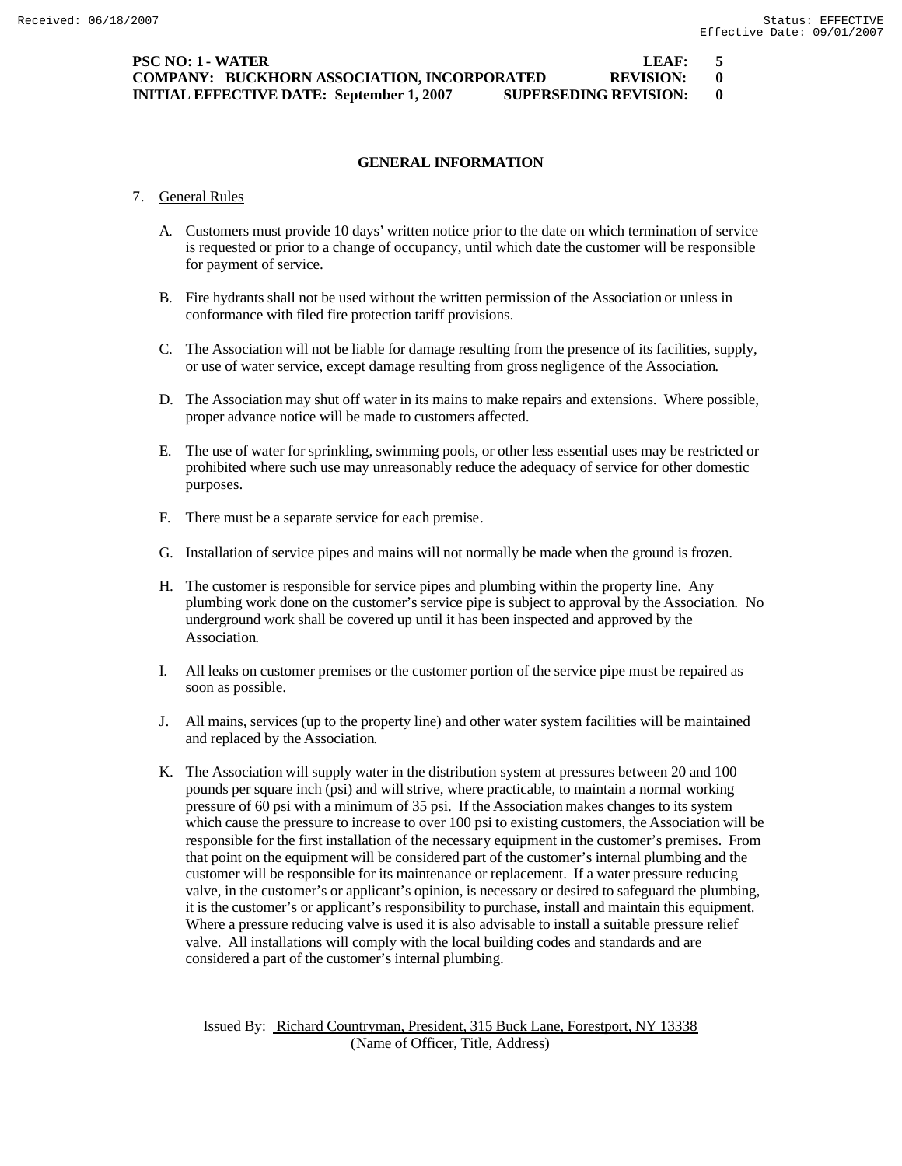**PSC NO: 1 - WATER LEAF: 5 COMPANY: BUCKHORN ASSOCIATION, INCORPORATED REVISION: 0 INITIAL EFFECTIVE DATE: September 1, 2007 SUPERSEDING REVISION: 0**

## **GENERAL INFORMATION**

- 7. General Rules
	- A. Customers must provide 10 days' written notice prior to the date on which termination of service is requested or prior to a change of occupancy, until which date the customer will be responsible for payment of service.
	- B. Fire hydrants shall not be used without the written permission of the Association or unless in conformance with filed fire protection tariff provisions.
	- C. The Association will not be liable for damage resulting from the presence of its facilities, supply, or use of water service, except damage resulting from gross negligence of the Association.
	- D. The Association may shut off water in its mains to make repairs and extensions. Where possible, proper advance notice will be made to customers affected.
	- E. The use of water for sprinkling, swimming pools, or other less essential uses may be restricted or prohibited where such use may unreasonably reduce the adequacy of service for other domestic purposes.
	- F. There must be a separate service for each premise.
	- G. Installation of service pipes and mains will not normally be made when the ground is frozen.
	- H. The customer is responsible for service pipes and plumbing within the property line. Any plumbing work done on the customer's service pipe is subject to approval by the Association. No underground work shall be covered up until it has been inspected and approved by the Association.
	- I. All leaks on customer premises or the customer portion of the service pipe must be repaired as soon as possible.
	- J. All mains, services (up to the property line) and other water system facilities will be maintained and replaced by the Association.
	- K. The Association will supply water in the distribution system at pressures between 20 and 100 pounds per square inch (psi) and will strive, where practicable, to maintain a normal working pressure of 60 psi with a minimum of 35 psi. If the Association makes changes to its system which cause the pressure to increase to over 100 psi to existing customers, the Association will be responsible for the first installation of the necessary equipment in the customer's premises. From that point on the equipment will be considered part of the customer's internal plumbing and the customer will be responsible for its maintenance or replacement. If a water pressure reducing valve, in the customer's or applicant's opinion, is necessary or desired to safeguard the plumbing, it is the customer's or applicant's responsibility to purchase, install and maintain this equipment. Where a pressure reducing valve is used it is also advisable to install a suitable pressure relief valve. All installations will comply with the local building codes and standards and are considered a part of the customer's internal plumbing.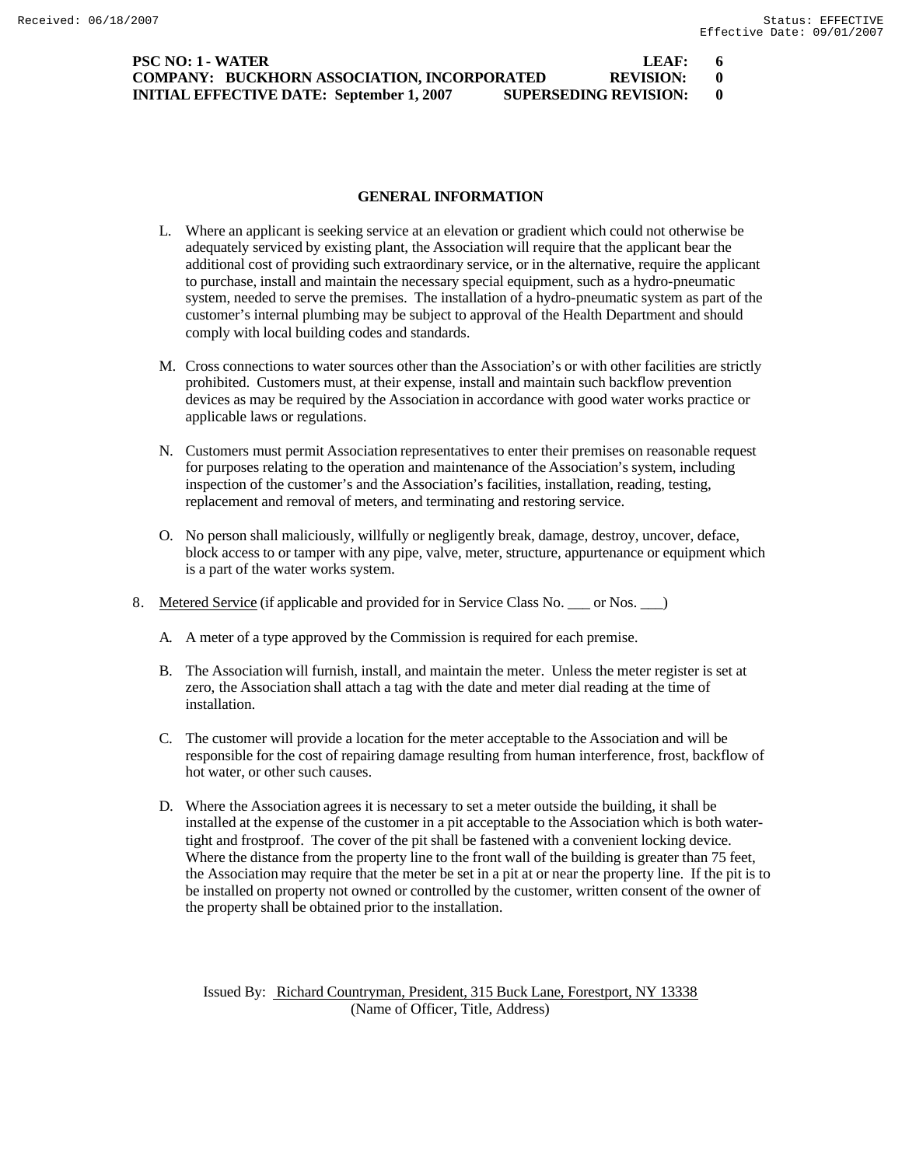| <b>PSC NO: 1 - WATER</b>                                                         | LEAF:       | 6 |
|----------------------------------------------------------------------------------|-------------|---|
| COMPANY: BUCKHORN ASSOCIATION, INCORPORATED                                      | REVISION: 0 |   |
| <b>SUPERSEDING REVISION:</b><br><b>INITIAL EFFECTIVE DATE: September 1, 2007</b> |             |   |

#### **GENERAL INFORMATION**

- L. Where an applicant is seeking service at an elevation or gradient which could not otherwise be adequately serviced by existing plant, the Association will require that the applicant bear the additional cost of providing such extraordinary service, or in the alternative, require the applicant to purchase, install and maintain the necessary special equipment, such as a hydro-pneumatic system, needed to serve the premises. The installation of a hydro-pneumatic system as part of the customer's internal plumbing may be subject to approval of the Health Department and should comply with local building codes and standards.
- M. Cross connections to water sources other than the Association's or with other facilities are strictly prohibited. Customers must, at their expense, install and maintain such backflow prevention devices as may be required by the Association in accordance with good water works practice or applicable laws or regulations.
- N. Customers must permit Association representatives to enter their premises on reasonable request for purposes relating to the operation and maintenance of the Association's system, including inspection of the customer's and the Association's facilities, installation, reading, testing, replacement and removal of meters, and terminating and restoring service.
- O. No person shall maliciously, willfully or negligently break, damage, destroy, uncover, deface, block access to or tamper with any pipe, valve, meter, structure, appurtenance or equipment which is a part of the water works system.
- 8. Metered Service (if applicable and provided for in Service Class No. \_\_\_ or Nos. \_\_\_)
	- A. A meter of a type approved by the Commission is required for each premise.
	- B. The Association will furnish, install, and maintain the meter. Unless the meter register is set at zero, the Association shall attach a tag with the date and meter dial reading at the time of installation.
	- C. The customer will provide a location for the meter acceptable to the Association and will be responsible for the cost of repairing damage resulting from human interference, frost, backflow of hot water, or other such causes.
	- D. Where the Association agrees it is necessary to set a meter outside the building, it shall be installed at the expense of the customer in a pit acceptable to the Association which is both watertight and frostproof. The cover of the pit shall be fastened with a convenient locking device. Where the distance from the property line to the front wall of the building is greater than 75 feet, the Association may require that the meter be set in a pit at or near the property line. If the pit is to be installed on property not owned or controlled by the customer, written consent of the owner of the property shall be obtained prior to the installation.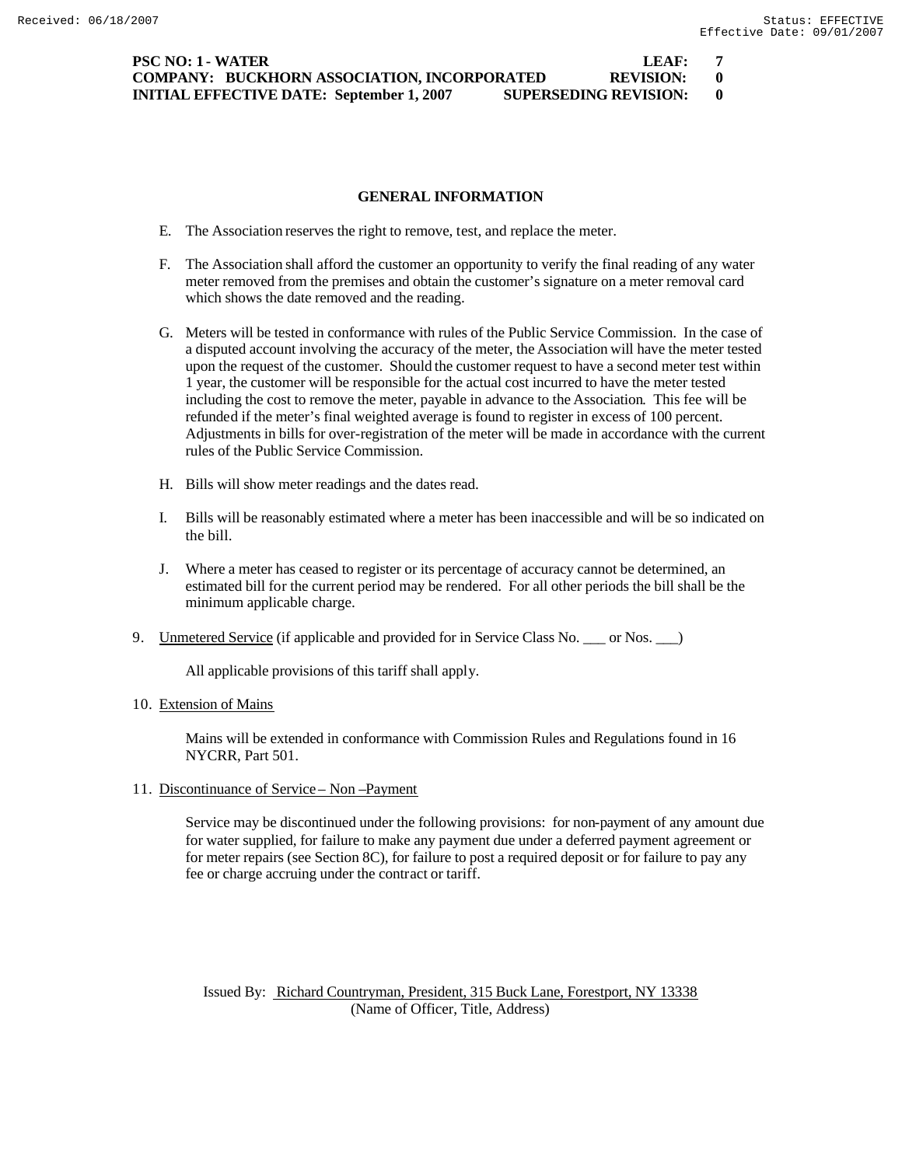**PSC NO: 1 - WATER LEAF: 7 COMPANY: BUCKHORN ASSOCIATION, INCORPORATED REVISION: 0 INITIAL EFFECTIVE DATE: September 1, 2007 SUPERSEDING REVISION: 0**

#### **GENERAL INFORMATION**

- E. The Association reserves the right to remove, test, and replace the meter.
- F. The Association shall afford the customer an opportunity to verify the final reading of any water meter removed from the premises and obtain the customer's signature on a meter removal card which shows the date removed and the reading.
- G. Meters will be tested in conformance with rules of the Public Service Commission. In the case of a disputed account involving the accuracy of the meter, the Association will have the meter tested upon the request of the customer. Should the customer request to have a second meter test within 1 year, the customer will be responsible for the actual cost incurred to have the meter tested including the cost to remove the meter, payable in advance to the Association. This fee will be refunded if the meter's final weighted average is found to register in excess of 100 percent. Adjustments in bills for over-registration of the meter will be made in accordance with the current rules of the Public Service Commission.
- H. Bills will show meter readings and the dates read.
- I. Bills will be reasonably estimated where a meter has been inaccessible and will be so indicated on the bill.
- J. Where a meter has ceased to register or its percentage of accuracy cannot be determined, an estimated bill for the current period may be rendered. For all other periods the bill shall be the minimum applicable charge.
- 9. Unmetered Service (if applicable and provided for in Service Class No. \_\_\_ or Nos. \_\_)

All applicable provisions of this tariff shall apply.

10. Extension of Mains

Mains will be extended in conformance with Commission Rules and Regulations found in 16 NYCRR, Part 501.

11. Discontinuance of Service – Non –Payment

Service may be discontinued under the following provisions: for non-payment of any amount due for water supplied, for failure to make any payment due under a deferred payment agreement or for meter repairs (see Section 8C), for failure to post a required deposit or for failure to pay any fee or charge accruing under the contract or tariff.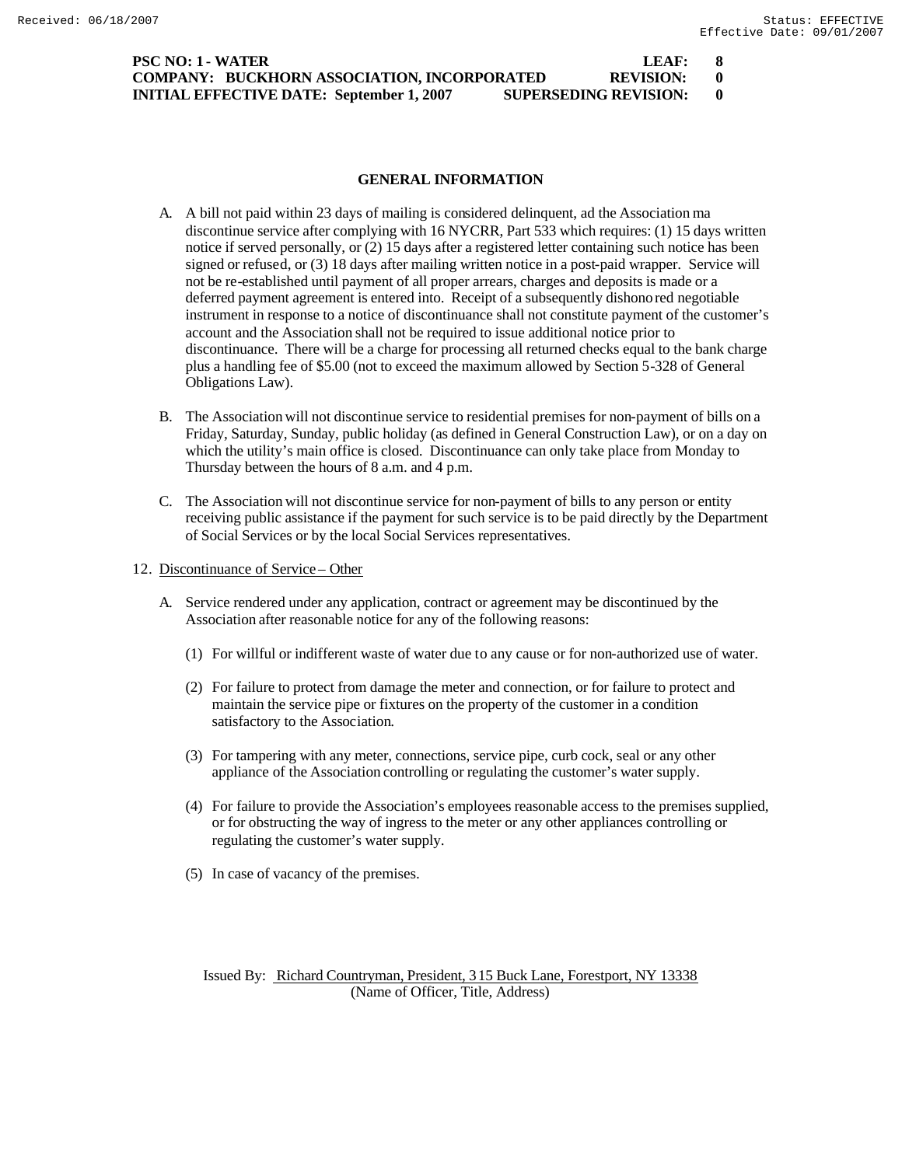| <b>PSC NO: 1 - WATER</b>                                                         | LEAF:       |  |
|----------------------------------------------------------------------------------|-------------|--|
| <b>COMPANY: BUCKHORN ASSOCIATION, INCORPORATED</b>                               | REVISION: 0 |  |
| <b>SUPERSEDING REVISION:</b><br><b>INITIAL EFFECTIVE DATE: September 1, 2007</b> |             |  |

## **GENERAL INFORMATION**

- A. A bill not paid within 23 days of mailing is considered delinquent, ad the Association ma discontinue service after complying with 16 NYCRR, Part 533 which requires: (1) 15 days written notice if served personally, or (2) 15 days after a registered letter containing such notice has been signed or refused, or (3) 18 days after mailing written notice in a post-paid wrapper. Service will not be re-established until payment of all proper arrears, charges and deposits is made or a deferred payment agreement is entered into. Receipt of a subsequently dishonored negotiable instrument in response to a notice of discontinuance shall not constitute payment of the customer's account and the Association shall not be required to issue additional notice prior to discontinuance. There will be a charge for processing all returned checks equal to the bank charge plus a handling fee of \$5.00 (not to exceed the maximum allowed by Section 5-328 of General Obligations Law).
- B. The Association will not discontinue service to residential premises for non-payment of bills on a Friday, Saturday, Sunday, public holiday (as defined in General Construction Law), or on a day on which the utility's main office is closed. Discontinuance can only take place from Monday to Thursday between the hours of 8 a.m. and 4 p.m.
- C. The Association will not discontinue service for non-payment of bills to any person or entity receiving public assistance if the payment for such service is to be paid directly by the Department of Social Services or by the local Social Services representatives.
- 12. Discontinuance of Service Other
	- A. Service rendered under any application, contract or agreement may be discontinued by the Association after reasonable notice for any of the following reasons:
		- (1) For willful or indifferent waste of water due to any cause or for non-authorized use of water.
		- (2) For failure to protect from damage the meter and connection, or for failure to protect and maintain the service pipe or fixtures on the property of the customer in a condition satisfactory to the Association.
		- (3) For tampering with any meter, connections, service pipe, curb cock, seal or any other appliance of the Association controlling or regulating the customer's water supply.
		- (4) For failure to provide the Association's employees reasonable access to the premises supplied, or for obstructing the way of ingress to the meter or any other appliances controlling or regulating the customer's water supply.
		- (5) In case of vacancy of the premises.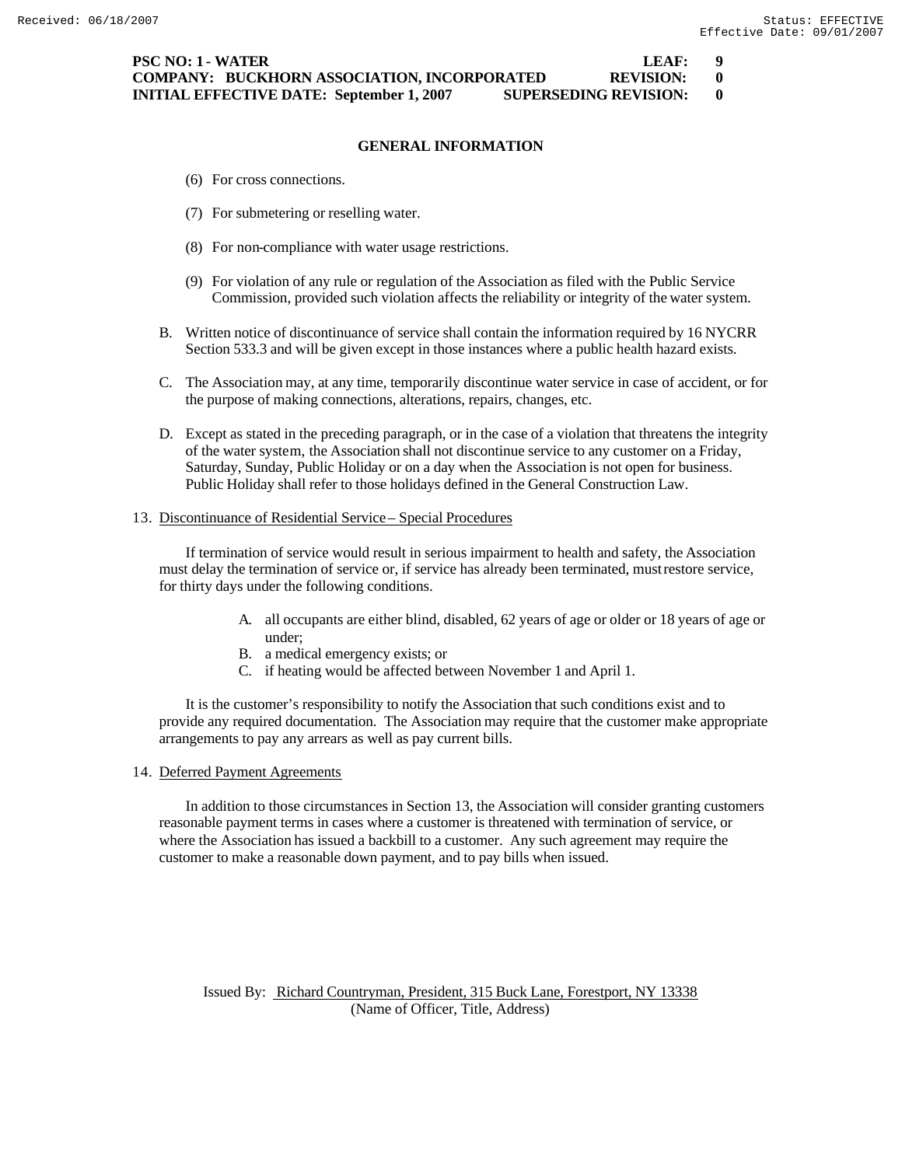**PSC NO: 1 - WATER LEAF: 9 COMPANY: BUCKHORN ASSOCIATION, INCORPORATED REVISION: 0 INITIAL EFFECTIVE DATE: September 1, 2007 SUPERSEDING REVISION: 0**

# **GENERAL INFORMATION**

- (6) For cross connections.
- (7) For submetering or reselling water.
- (8) For non-compliance with water usage restrictions.
- (9) For violation of any rule or regulation of the Association as filed with the Public Service Commission, provided such violation affects the reliability or integrity of the water system.
- B. Written notice of discontinuance of service shall contain the information required by 16 NYCRR Section 533.3 and will be given except in those instances where a public health hazard exists.
- C. The Association may, at any time, temporarily discontinue water service in case of accident, or for the purpose of making connections, alterations, repairs, changes, etc.
- D. Except as stated in the preceding paragraph, or in the case of a violation that threatens the integrity of the water system, the Association shall not discontinue service to any customer on a Friday, Saturday, Sunday, Public Holiday or on a day when the Association is not open for business. Public Holiday shall refer to those holidays defined in the General Construction Law.

## 13. Discontinuance of Residential Service – Special Procedures

If termination of service would result in serious impairment to health and safety, the Association must delay the termination of service or, if service has already been terminated, must restore service, for thirty days under the following conditions.

- A. all occupants are either blind, disabled, 62 years of age or older or 18 years of age or under;
- B. a medical emergency exists; or
- C. if heating would be affected between November 1 and April 1.

It is the customer's responsibility to notify the Association that such conditions exist and to provide any required documentation. The Association may require that the customer make appropriate arrangements to pay any arrears as well as pay current bills.

#### 14. Deferred Payment Agreements

In addition to those circumstances in Section 13, the Association will consider granting customers reasonable payment terms in cases where a customer is threatened with termination of service, or where the Association has issued a backbill to a customer. Any such agreement may require the customer to make a reasonable down payment, and to pay bills when issued.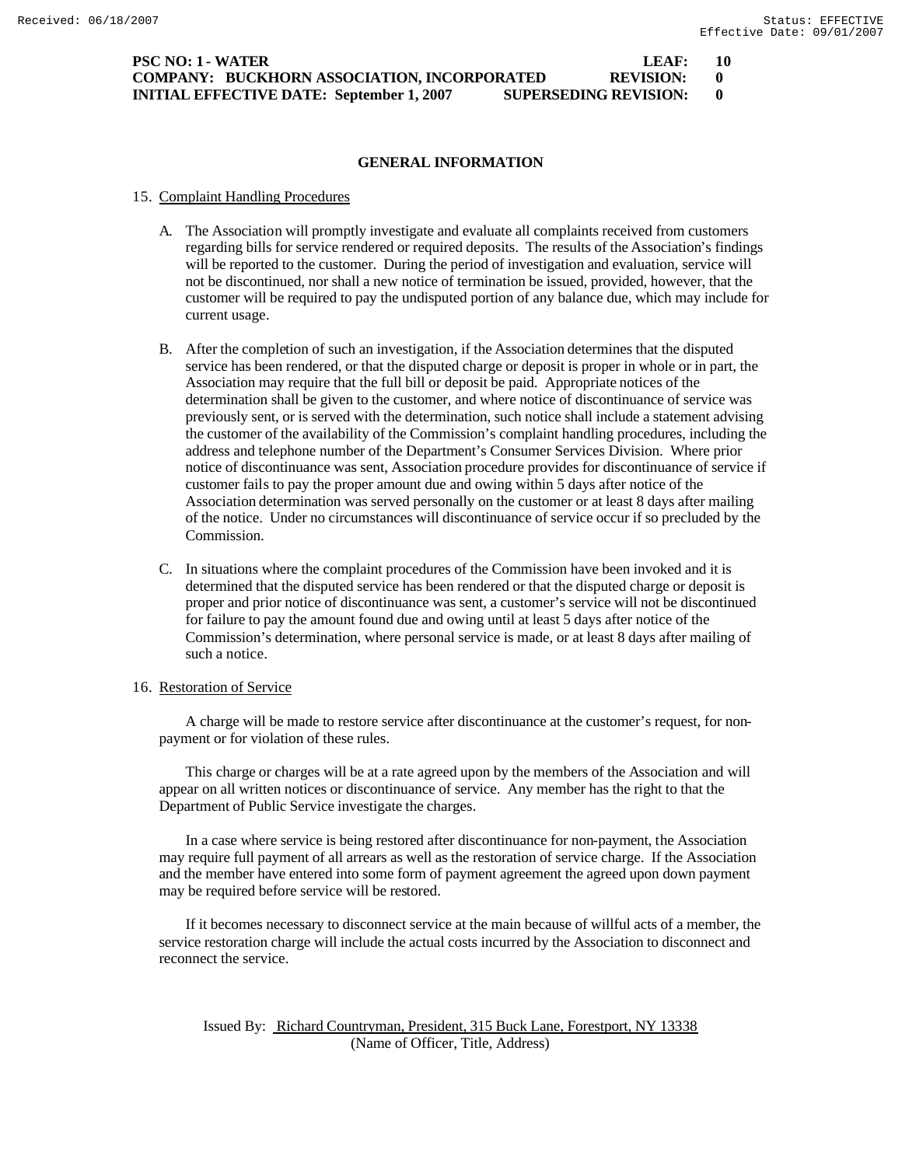## **PSC NO: 1 - WATER LEAF: 10 COMPANY: BUCKHORN ASSOCIATION, INCORPORATED REVISION: 0 INITIAL EFFECTIVE DATE: September 1, 2007 SUPERSEDING REVISION: 0**

## **GENERAL INFORMATION**

#### 15. Complaint Handling Procedures

- A. The Association will promptly investigate and evaluate all complaints received from customers regarding bills for service rendered or required deposits. The results of the Association's findings will be reported to the customer. During the period of investigation and evaluation, service will not be discontinued, nor shall a new notice of termination be issued, provided, however, that the customer will be required to pay the undisputed portion of any balance due, which may include for current usage.
- B. After the completion of such an investigation, if the Association determines that the disputed service has been rendered, or that the disputed charge or deposit is proper in whole or in part, the Association may require that the full bill or deposit be paid. Appropriate notices of the determination shall be given to the customer, and where notice of discontinuance of service was previously sent, or is served with the determination, such notice shall include a statement advising the customer of the availability of the Commission's complaint handling procedures, including the address and telephone number of the Department's Consumer Services Division. Where prior notice of discontinuance was sent, Association procedure provides for discontinuance of service if customer fails to pay the proper amount due and owing within 5 days after notice of the Association determination was served personally on the customer or at least 8 days after mailing of the notice. Under no circumstances will discontinuance of service occur if so precluded by the Commission.
- C. In situations where the complaint procedures of the Commission have been invoked and it is determined that the disputed service has been rendered or that the disputed charge or deposit is proper and prior notice of discontinuance was sent, a customer's service will not be discontinued for failure to pay the amount found due and owing until at least 5 days after notice of the Commission's determination, where personal service is made, or at least 8 days after mailing of such a notice.

#### 16. Restoration of Service

A charge will be made to restore service after discontinuance at the customer's request, for nonpayment or for violation of these rules.

This charge or charges will be at a rate agreed upon by the members of the Association and will appear on all written notices or discontinuance of service. Any member has the right to that the Department of Public Service investigate the charges.

In a case where service is being restored after discontinuance for non-payment, the Association may require full payment of all arrears as well as the restoration of service charge. If the Association and the member have entered into some form of payment agreement the agreed upon down payment may be required before service will be restored.

If it becomes necessary to disconnect service at the main because of willful acts of a member, the service restoration charge will include the actual costs incurred by the Association to disconnect and reconnect the service.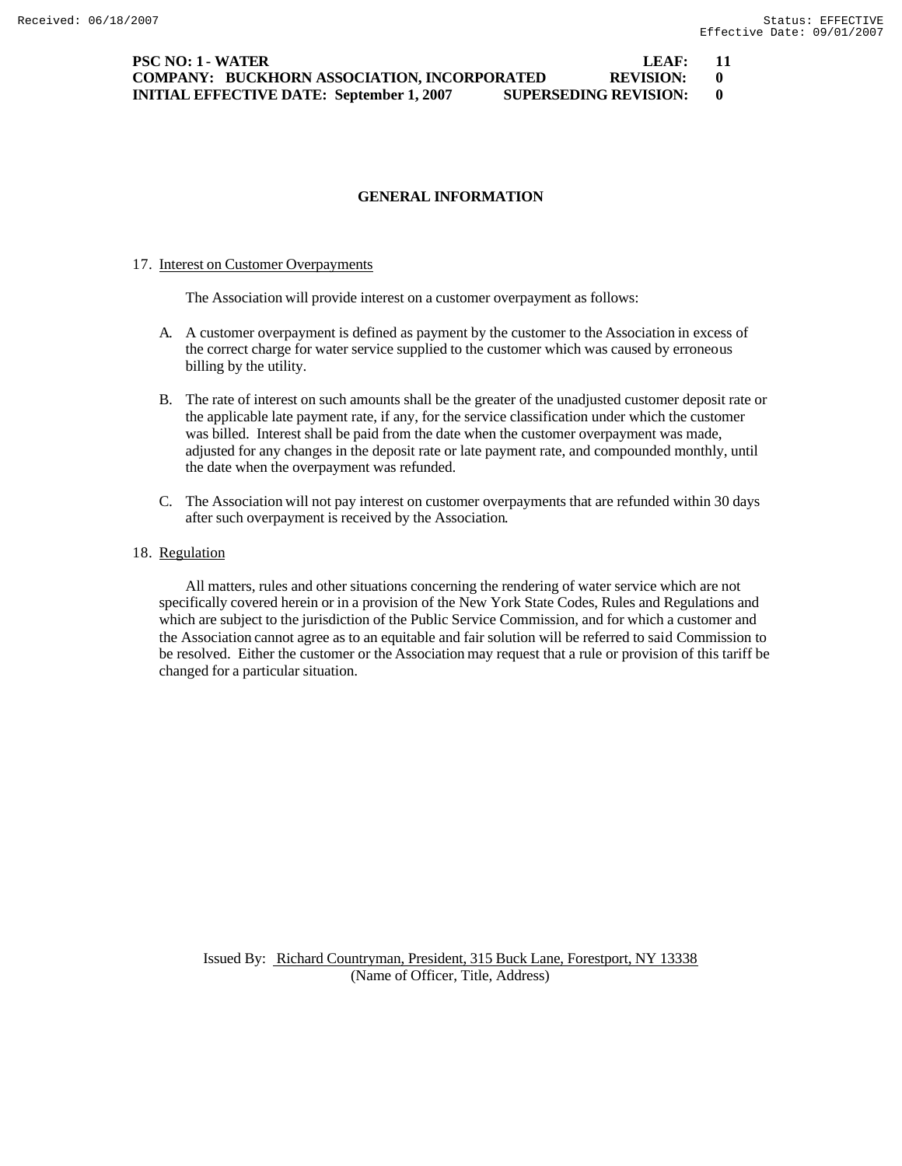# **GENERAL INFORMATION**

#### 17. Interest on Customer Overpayments

The Association will provide interest on a customer overpayment as follows:

- A. A customer overpayment is defined as payment by the customer to the Association in excess of the correct charge for water service supplied to the customer which was caused by erroneous billing by the utility.
- B. The rate of interest on such amounts shall be the greater of the unadjusted customer deposit rate or the applicable late payment rate, if any, for the service classification under which the customer was billed. Interest shall be paid from the date when the customer overpayment was made, adjusted for any changes in the deposit rate or late payment rate, and compounded monthly, until the date when the overpayment was refunded.
- C. The Association will not pay interest on customer overpayments that are refunded within 30 days after such overpayment is received by the Association.

## 18. Regulation

All matters, rules and other situations concerning the rendering of water service which are not specifically covered herein or in a provision of the New York State Codes, Rules and Regulations and which are subject to the jurisdiction of the Public Service Commission, and for which a customer and the Association cannot agree as to an equitable and fair solution will be referred to said Commission to be resolved. Either the customer or the Association may request that a rule or provision of this tariff be changed for a particular situation.